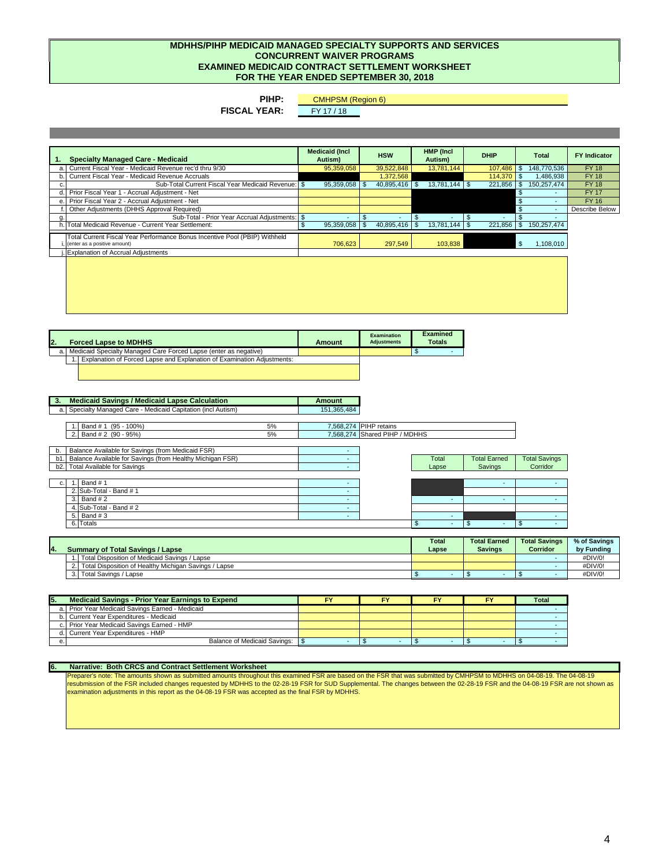**Report on Compliance**

# **Community Mental Health Partnership of Southeast Michigan**

*September 30, 2018*

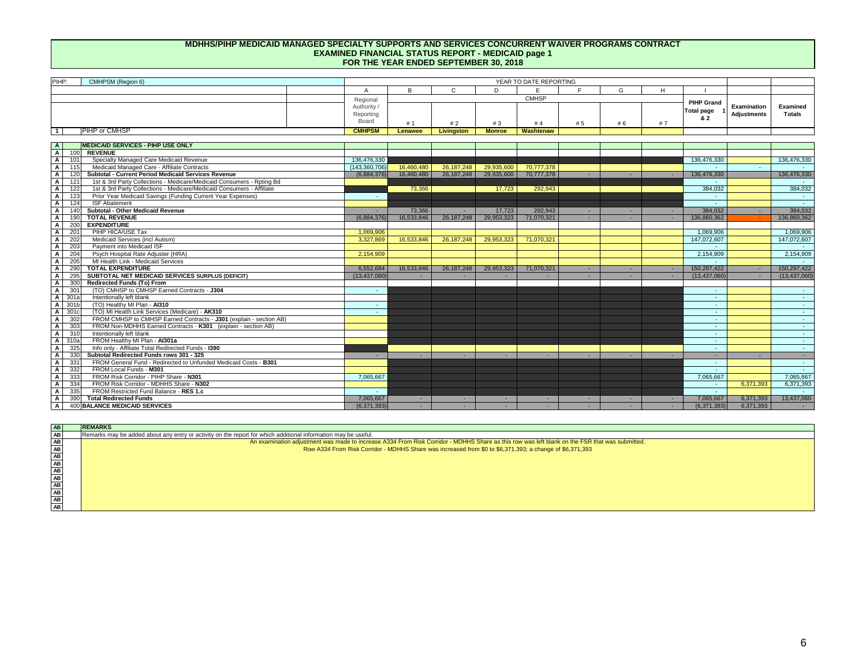

# **INDEPENDENT ACCOUNTANT'S REPORT ON COMPLIANCE**

To the Members of the Board Community Mental Health Partnership of Southeast Michigan Ann Arbor, Michigan

## **Report On Compliance**

We have examined Community Mental Health Partnership of Southeast Michigan's (the PIHP) compliance with the requirements described in the *Compliance Examination Guidelines* issued by Michigan Department of Health and Human Services that could have a direct and material effect on its Medicaid Contract, General Fund Contract, and Community Mental Health Services Block Grants (including various programs included therein) for the year ended September 30, 2018.

## **Management's Responsibility**

Management is responsible for compliance with the requirements of laws, regulations, contracts, and grants applicable to its Medicaid Contract, General Fund Contract, and Community Mental Health Services Block Grants (including various programs included therein).

## **Independent Accountants' Responsibility**

Our responsibility is to express an opinion on the PIHP's compliance with the Medicaid Contract, General Fund Contract, and Community Mental Health Services Block Grants (including various programs included therein), based on our examination of the compliance requirements referred to above.

Our examination was conducted in accordance with attestation standards established by the American Institute of Certified Public Accountants. Those standards require that we plan and perform the examination to obtain reasonable assurance about whether the PIHP complied, in all material respects, with the compliance requirements referred to above.

An examination involves performing procedures to obtain evidence about the PIHP's compliance with the specified requirements. The nature, timing, and extent of the procedures selected depend on our judgement, including an assessment of the risk of material misstatement, whether due to fraud or error.

We believe that the evidence we obtained is sufficient and appropriate to provide a reasonable basis for our opinion.

## **Basis for Qualified Opinion**

As discussed in the Schedule of Findings as item 2018-01, our examination disclosed material noncompliance related to the Medicaid Contract during the year ended September 30, 2018.

## **Opinion on Each Program**

In our opinion, except for the material noncompliance noted above, the PIHP complied, in all material respects, with the specified requirements referred to above that could have a direct and material effect on its Medicaid Contract, General Fund Contract, and Community Mental Health Services Block Grants (including various programs included therein) for the year ended September 30, 2018.

## **Other Matters**

The results of our examination procedures disclosed instances of noncompliance, which are required to be reported in accordance with Compliance Examination Guidelines, and which are described in the accompanying Comments and Recommendations as 2018-02. Our opinion is not modified with respect to 2018-02.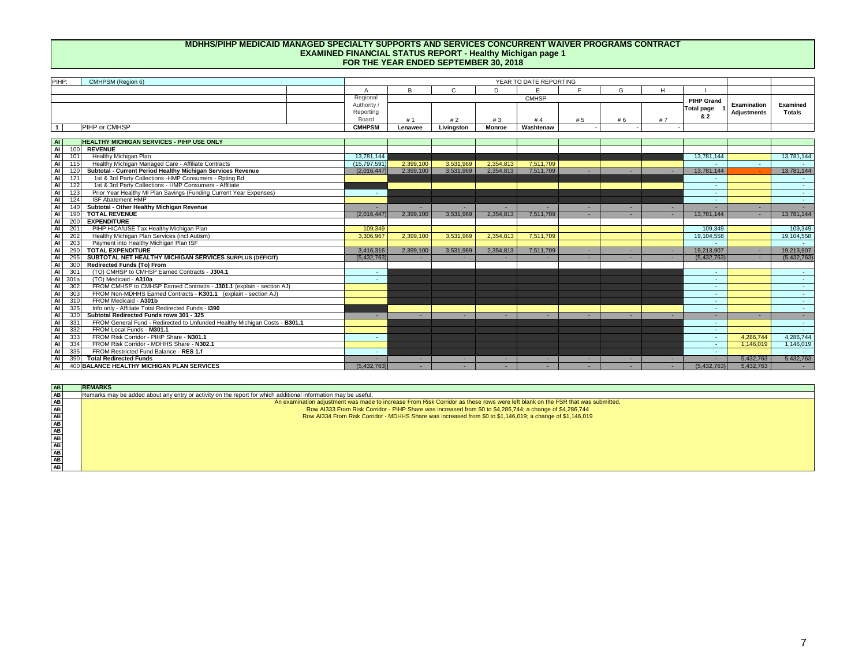The PIHP's responses to the noncompliance findings identified in our examination are described in the accompanying Schedule of Findings and Comments and Recommendations. The PIHP's responses were not subjected to the examination procedures applied in the examination of compliance and, accordingly, we express no opinion on the responses.

## **Purpose of this Report**

This report is intended solely for the information and use of the board and management of the PIHP and the Michigan Department of Health and Human Services, and is not intended to be, and should not be, used by anyone other than these specified parties.

Roslund, Prestage & Company, P.C.

Roslund, Prestage & Company, P.C. Certified Public Accountants

June 19, 2019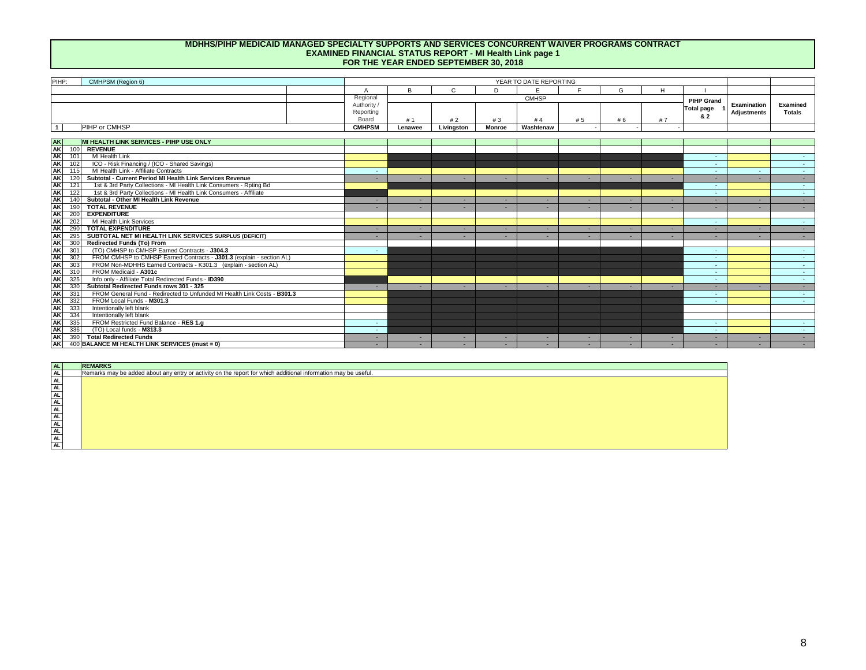Control deficiencies that are individually or cumulatively material weaknesses in internal control over the Medicaid Contract, General Fund Contract, and/or Community Mental Health Services Block Grant Program(s):

None

Material noncompliance with the provisions of laws, regulations, or contracts related to the Medicaid Contract, General Fund Contract, and/or Community Mental Health Services Block Grant Program(s):

## **2018-01 Fiscal Soundness of The Risk-Based PIHP**

## *Criteria or specific requirements:*

Provision *32.0 Fiscal Soundness of The Risk-Based PIHP* states "Federal regulations require that the riskbased PIHPs maintain a fiscally solvent operation and MDHHS has the right to evaluate the ability of the PIHP to bear the risk of potential financial losses, or to perform services based on determinations of payable amounts under the contract." (*Medicaid Contract General Provision 32.0*)

## *Condition:*

Row N400 Balance Risk Corridor (Examined Total) is \$4,286,744 which represents the PIHP's portion of the shared risk that is unfunded. The PIHP does not have sufficient resources to manage the local portion of the shared risk and is not fiscally solvent. As a result of this insolvency, the PIHP is not in compliance with General Provision 32.0 of the Medicaid Contract.

*Examination adjustments:* 

None

## *Context and perspective:*

The PIHP has incurred substantial annual deficits in the last two fiscal years. The deficit for FY18 was \$18,869,823 of which \$11,352,411 was the local portion of shared risk and \$7,517,412 was the State portion of risk. The PIHP liquidated its remaining investments in the ISF and was able to cover \$7,065,667 of its \$11,352,411 in local risk. \$4,286,744 in local risk remains unfunded as of year end.

*Effect:* Unable to determine

## *Recommendations:*

The PIHP should work with stakeholders on how to address its annual deficits and the remaining unfunded risk at year end.

## *Views of responsible officials:*

Management is in agreement with this recommendation.

## *Planned corrective action:*

The CMHPSM and its partner CMHSPs have filed an administrative appeal to MDHHS related to FY17 and FY18 deficits as well as the projected FY19 deficit. The administrative appeal provides details supporting the region not being provided with the revenue necessary to deliver the medically necessary services that individuals are entitled to as eligible Medicaid enrollees. Resolution of the administrative appeal, subsequent planned legal actions and/or a renegotiation of revenue capitation rates will correct the financial status of the CMHPSM.

*Responsible party:*  MDHHS, CMHPSM and CMHPSM stakeholders

*Anticipated completion date:* As soon as possible

Known fraud affecting the Medicaid Contract, General Fund Contract, and/or Community Mental Health Services Block Grant Program(s):

None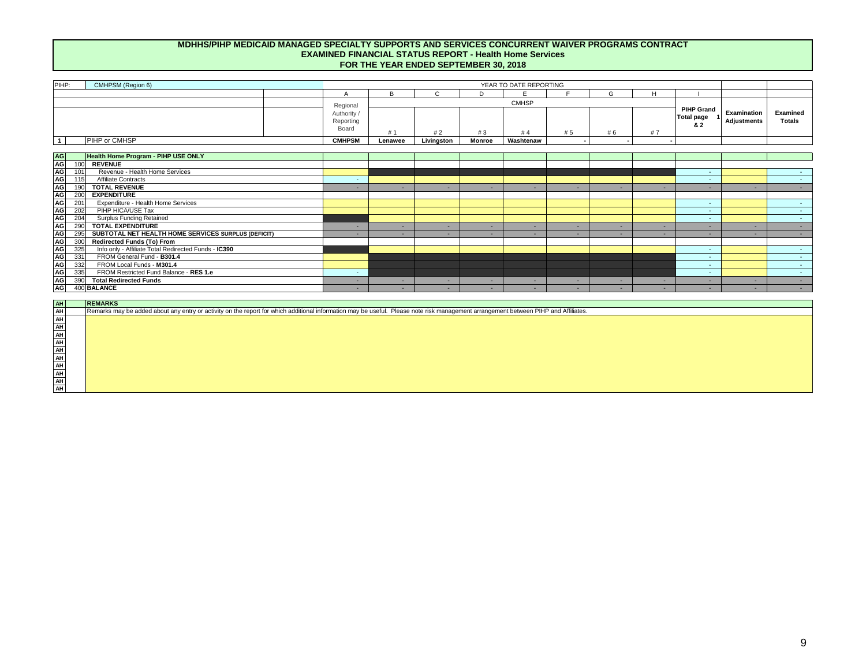## **Examined Financial Status Report – Medicaid**

An examination adjustment was made to increase A334 From Risk Corridor - MDHHS Share as this row was left blank on the FSR that was submitted.

Row A334 From Risk Corridor - MDHHS Share was increased from \$0 to \$6,371,393; a change of \$6,371,393

## **Examined Financial Status Report – Healthy Michigan**

An examination adjustment was made to increase From Risk Corridor as these rows were left blank on the FSR that was submitted.

- Row AI333 From Risk Corridor PIHP Share was increased from \$0 to \$4,286,744; a change of \$4,286,744
- Row AI334 From Risk Corridor MDHHS Share was increased from \$0 to \$1,146,019; a change of \$1,146,019

## **Examined Internal Service Fund**

An examination adjustment was made to agree 1.a ISF Balance @ Beginning of Fiscal Year with the FY18 audited financial statements. A prior period adjustment was included in the FY18 audited financial statements as the FY17 transfer from ISF to Mental Health Fund was understated by \$149,507 as a result of an overstatement of the FY17 Autism receivable (in the Mental Health Fund).

- 1.a ISF Balance @ Beginning of Fiscal Year was decreased from \$7,135,209 to \$6,985,702; a change of \$(149,507)
- A corresponding decrease was made to 1.a Current Period ISF Financing Medicaid (Risk) was decreased from \$(7,215,174) to \$(7,065,667); a change of \$149,507

## **Examined Shared Risk Calculation and Risk Financing**

An examination adjustment was made to agree Row 2.b Medicaid / HMP for PIHP Share Risk Corridor to Row 1.c6 Total Risk Responsibility (Local Risk). Row 2.b was increased from \$7,215,174 to \$11,352,411; a change of \$4,137,237.

An examination adjustment was made to agree Row 2.e Due PIHP from MDHHS to Row 1.c6 Total Risk Responsibility (State Risk). Row 2.e was decreased from \$11,654,649 to \$7,517,412; a change of \$4,137,237.

An examination adjustment was made to agree Row 3.b Total Disposition of MDHHS / Local Risk - Medicaid (State Risk) to Medicaid FSR Row A334 From Risk Corridor - MDHHS Share. Row 3.b was decreased from \$11,654,649 to \$6,371,393; a change of \$5,283,256.

An examination adjustment was made to agree Row 3.b Total Disposition of MDHHS / Local Risk - Medicaid (Local Risk) to Medicaid FSR Row A333 From Risk Corridor - PIHP Share. Row 3.b was decreased from \$7,215,174 to \$7,065,667; a change of \$149,507.

An examination adjustment was made to agree Row 3.b1 Total Disposition of MDHHS / Local Risk - Healthy Michigan Plan (State Risk) to Healthy Michigan FSR Row AI334 From Risk Corridor - MDHHS Share. Row 3.b1 was increased from \$0 to \$1,146,019; a change of \$1,146,019.

An examination adjustment was made to agree Row 3.b1 Total Disposition of MDHHS / Local Risk - Healthy Michigan Plan (Local Risk) to Healthy Michigan FSR Row AI333 From Risk Corridor - PIHP Share. Row 3.b1 was increased from \$0 to \$4,286,744; a change of \$4,286,744.

## **Examined Financial Status Report – All Non Medicaid**

An examination adjustment was made to Row N102 to correspond with an examination adjustment that was made to the Internal Service Fund FSR. Row N102 was decreased from \$7,215,174 to \$7,065,667; a change of \$149,507.

An examination adjustment was made to Row N103 to correspond with examination adjustments that were made to the Shared Risk Calculation & Risk Financing. Row N103 was increased from \$0 to \$7,517,412; a change of \$7,517,412.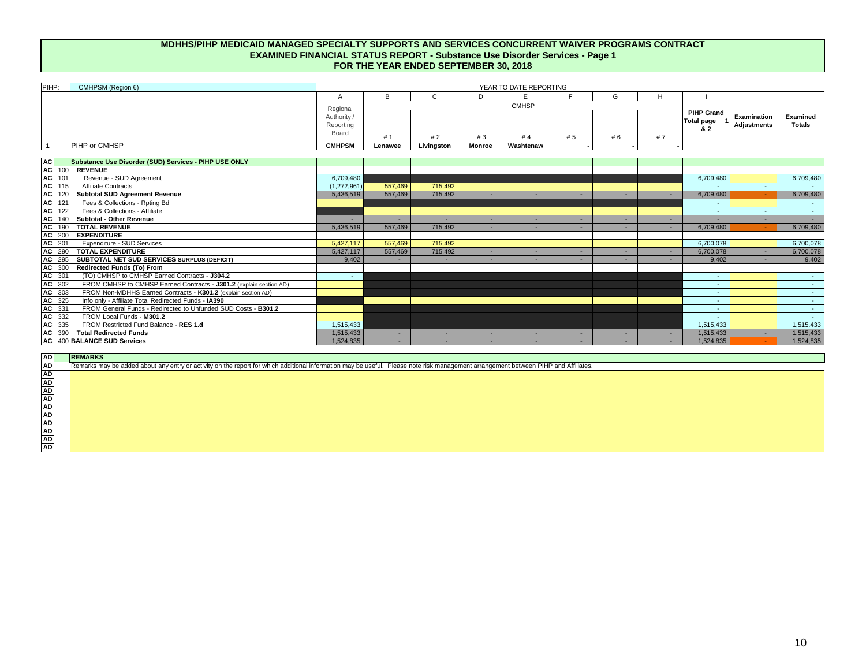During our compliance audit, we may have become aware of matters that are opportunities for strengthening internal controls, improving compliance and increasing operating efficiency. These matters are not individually or cumulatively material weaknesses in internal control over the Medicaid Contract, General Fund Contract, and/or Community Mental Health Services Block Grant program(s). Furthermore, we consider these matters to be immaterial deficiencies, not findings. The following comments and recommendations are in regard to those matters.

## **2018-02 FSR Examination Adjustments**

#### *Criteria or specific requirements:*

The FSR must include revenues and expenditures in proper categories and follow the reporting instructions. (Contract Section 7.8)

## *Condition:*

The PIHP is not in compliance with FSR instructions.

## *Examination adjustments:*

Examination adjustments were made to sections of the FSR. See detailed descriptions of these examination adjustments in the Explanation of Examination Adjustments section of this report.

## *Context and perspective:*

The examination adjustments were made to the PIHP's FSR to bring the FSR in accordance with the reporting instructions. The adjustments that were made pertained to the State and Local Share of the Risk Corridor and related reporting. The PIHP did not have sufficient resources to meet its portion of the risk corridor which presented unique challenges in completing the FSR.

## *Effect:*

See detailed descriptions of these examination adjustments in the Explanation of Examination Adjustments section of this report.

## *Recommendations:*

The PIHP should review its current policies and procedures regarding the preparation and review of the Financial Status Report to assure that all amounts are reported in compliance with the reporting instructions. Specifically, a review of the final draft should be performed by a knowledgeable person who is independent from the original preparation of the report(s).

## *Views of responsible officials:*

Management is in partial agreement with the recommendation, with the clarification that the CMHPSM entity was not provided with sufficient resources to provide the medically necessary services to the eligible population during state fiscal years 2017 or 2018. Insufficient funding to the CMHPSM region has precipitated the exhaustion of all Internal Service Fund resources, which forced an administrative appeal to MDHHS. The cited condition of noncompliance with Financial Status Report instructions derives from the CMHPSM region's assertion that the use of local funding is prohibited by law to cover the cost of delivering medically necessary Medicaid services to eligible individuals. On the specific assertion that a final draft be reviewed by a knowledgeable person who is independent from the original preparations of the report(s), the CMHPSM asserts that this did occur and that the unique financial status, administrative appeal and independent legal recommendation predicated the non-compliance with the reporting instructions. The CMHPSM Regional Operations Committee and legal counsel are knowledgeable and independent of the preparation of the report(s).

## *Planned corrective action:*

The CMHPSM will review its current policies and procedures for any potential revisions that could be made in conjunction with the examination condition, as long as those changes: do not impact the health and safety of the individuals served within our region, negatively impact the status of the administrative appeal or any subsequent legal actions, and maintain the CMHPSM and its CMHSP partners compliance with Federal, State or local laws and regulations, specifically related to the use of local funding to cover qualified, medically necessary Medicaid services for eligible individuals.